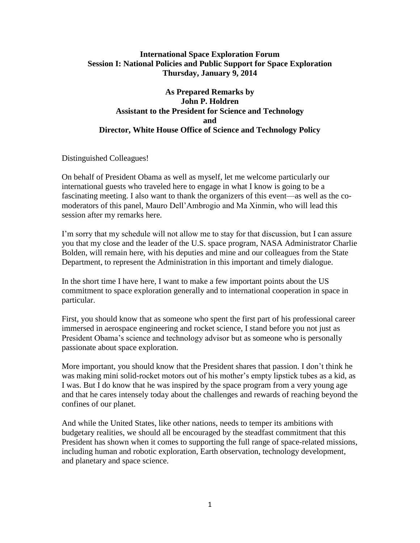## **International Space Exploration Forum Session I: National Policies and Public Support for Space Exploration Thursday, January 9, 2014**

## **As Prepared Remarks by John P. Holdren Assistant to the President for Science and Technology and Director, White House Office of Science and Technology Policy**

Distinguished Colleagues!

On behalf of President Obama as well as myself, let me welcome particularly our international guests who traveled here to engage in what I know is going to be a fascinating meeting. I also want to thank the organizers of this event—as well as the comoderators of this panel, Mauro Dell'Ambrogio and Ma Xinmin, who will lead this session after my remarks here.

I'm sorry that my schedule will not allow me to stay for that discussion, but I can assure you that my close and the leader of the U.S. space program, NASA Administrator Charlie Bolden, will remain here, with his deputies and mine and our colleagues from the State Department, to represent the Administration in this important and timely dialogue.

In the short time I have here, I want to make a few important points about the US commitment to space exploration generally and to international cooperation in space in particular.

First, you should know that as someone who spent the first part of his professional career immersed in aerospace engineering and rocket science, I stand before you not just as President Obama's science and technology advisor but as someone who is personally passionate about space exploration.

More important, you should know that the President shares that passion. I don't think he was making mini solid-rocket motors out of his mother's empty lipstick tubes as a kid, as I was. But I do know that he was inspired by the space program from a very young age and that he cares intensely today about the challenges and rewards of reaching beyond the confines of our planet.

And while the United States, like other nations, needs to temper its ambitions with budgetary realities, we should all be encouraged by the steadfast commitment that this President has shown when it comes to supporting the full range of space-related missions, including human and robotic exploration, Earth observation, technology development, and planetary and space science.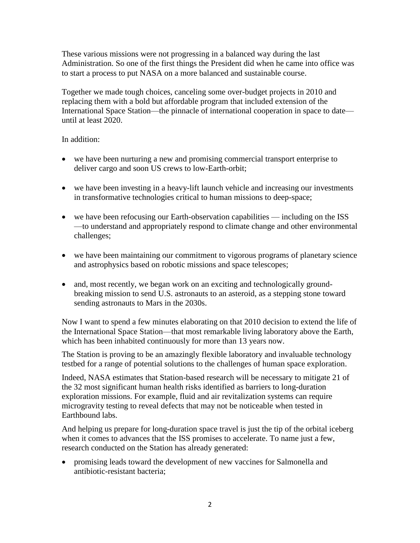These various missions were not progressing in a balanced way during the last Administration. So one of the first things the President did when he came into office was to start a process to put NASA on a more balanced and sustainable course.

Together we made tough choices, canceling some over-budget projects in 2010 and replacing them with a bold but affordable program that included extension of the International Space Station—the pinnacle of international cooperation in space to date until at least 2020.

In addition:

- we have been nurturing a new and promising commercial transport enterprise to deliver cargo and soon US crews to low-Earth-orbit;
- we have been investing in a heavy-lift launch vehicle and increasing our investments in transformative technologies critical to human missions to deep-space;
- we have been refocusing our Earth-observation capabilities including on the ISS —to understand and appropriately respond to climate change and other environmental challenges;
- we have been maintaining our commitment to vigorous programs of planetary science and astrophysics based on robotic missions and space telescopes;
- and, most recently, we began work on an exciting and technologically groundbreaking mission to send U.S. astronauts to an asteroid, as a stepping stone toward sending astronauts to Mars in the 2030s.

Now I want to spend a few minutes elaborating on that 2010 decision to extend the life of the International Space Station—that most remarkable living laboratory above the Earth, which has been inhabited continuously for more than 13 years now.

The Station is proving to be an amazingly flexible laboratory and invaluable technology testbed for a range of potential solutions to the challenges of human space exploration.

Indeed, NASA estimates that Station-based research will be necessary to mitigate 21 of the 32 most significant human health risks identified as barriers to long-duration exploration missions. For example, fluid and air revitalization systems can require microgravity testing to reveal defects that may not be noticeable when tested in Earthbound labs.

And helping us prepare for long-duration space travel is just the tip of the orbital iceberg when it comes to advances that the ISS promises to accelerate. To name just a few, research conducted on the Station has already generated:

 promising leads toward the development of new vaccines for Salmonella and antibiotic-resistant bacteria;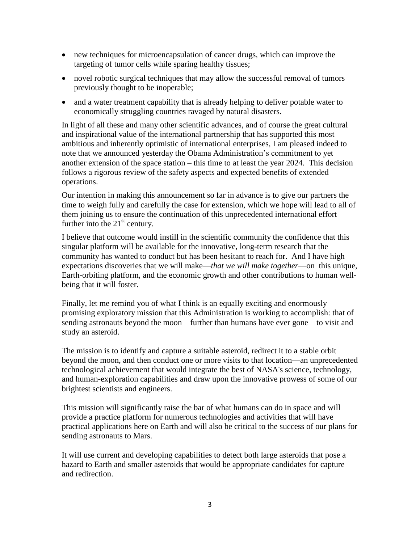- new techniques for microencapsulation of cancer drugs, which can improve the targeting of tumor cells while sparing healthy tissues;
- novel robotic surgical techniques that may allow the successful removal of tumors previously thought to be inoperable;
- and a water treatment capability that is already helping to deliver potable water to economically struggling countries ravaged by natural disasters.

In light of all these and many other scientific advances, and of course the great cultural and inspirational value of the international partnership that has supported this most ambitious and inherently optimistic of international enterprises, I am pleased indeed to note that we announced yesterday the Obama Administration's commitment to yet another extension of the space station – this time to at least the year 2024.This decision follows a rigorous review of the safety aspects and expected benefits of extended operations.

Our intention in making this announcement so far in advance is to give our partners the time to weigh fully and carefully the case for extension, which we hope will lead to all of them joining us to ensure the continuation of this unprecedented international effort further into the  $21<sup>st</sup>$  century.

I believe that outcome would instill in the scientific community the confidence that this singular platform will be available for the innovative, long-term research that the community has wanted to conduct but has been hesitant to reach for. And I have high expectations discoveries that we will make—*that we will make together*—on this unique, Earth-orbiting platform, and the economic growth and other contributions to human wellbeing that it will foster.

Finally, let me remind you of what I think is an equally exciting and enormously promising exploratory mission that this Administration is working to accomplish: that of sending astronauts beyond the moon—further than humans have ever gone—to visit and study an asteroid.

The mission is to identify and capture a suitable asteroid, redirect it to a stable orbit beyond the moon, and then conduct one or more visits to that location—an unprecedented technological achievement that would integrate the best of NASA's science, technology, and human-exploration capabilities and draw upon the innovative prowess of some of our brightest scientists and engineers.

This mission will significantly raise the bar of what humans can do in space and will provide a practice platform for numerous technologies and activities that will have practical applications here on Earth and will also be critical to the success of our plans for sending astronauts to Mars.

It will use current and developing capabilities to detect both large asteroids that pose a hazard to Earth and smaller asteroids that would be appropriate candidates for capture and redirection.